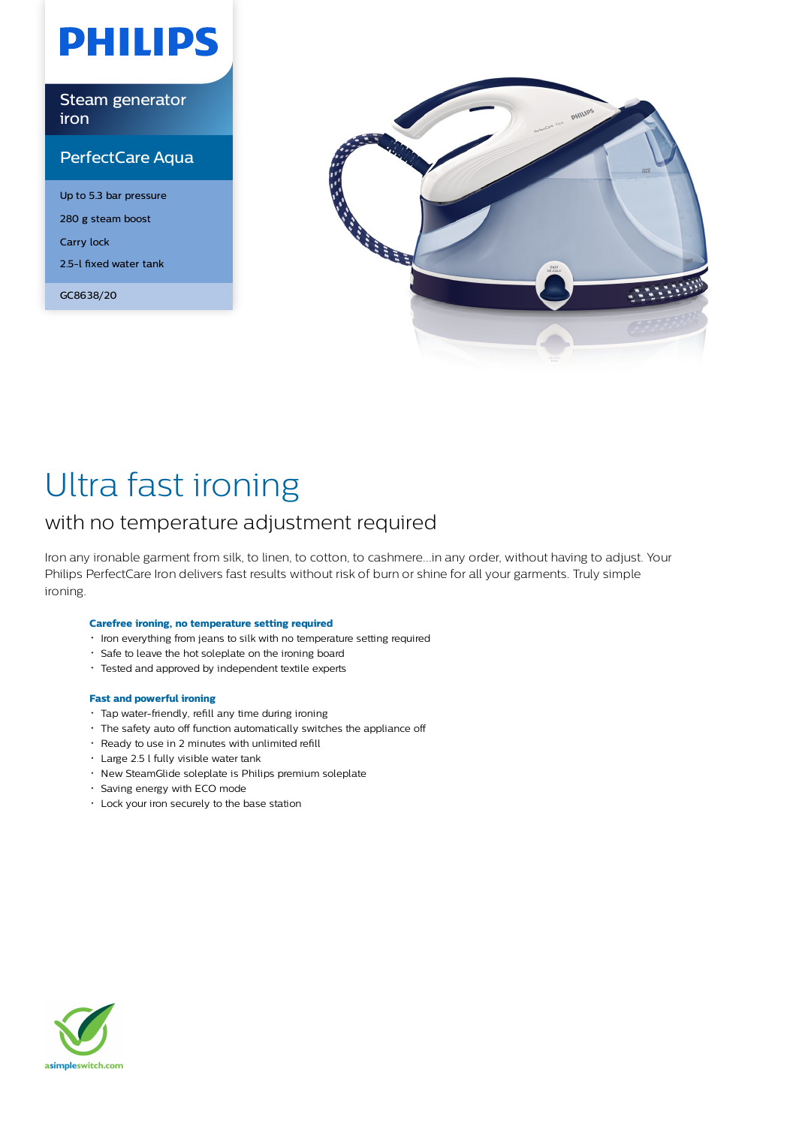# **PHILIPS**

Steam generator iron

### PerfectCare Aqua

Up to 5.3 bar pressure 280 g steam boost Carry lock 2.5-l fixed water tank

GC8638/20



## Ultra fast ironing

### with no temperature adjustment required

Iron any ironable garment from silk, to linen, to cotton, to cashmere...in any order, without having to adjust. Your Philips PerfectCare Iron delivers fast results without risk of burn or shine for all your garments. Truly simple ironing.

#### **Carefree ironing, no temperature setting required**

- $\cdot$  Iron everything from jeans to silk with no temperature setting required
- Safe to leave the hot soleplate on the ironing board
- Tested and approved by independent textile experts

#### **Fast and powerful ironing**

- Tap water-friendly, refill any time during ironing
- The safety auto off function automatically switches the appliance off
- Ready to use in 2 minutes with unlimited refill
- Large 2.5 l fully visible water tank
- New SteamGlide soleplate is Philips premium soleplate
- Saving energy with ECO mode
- Lock your iron securely to the base station

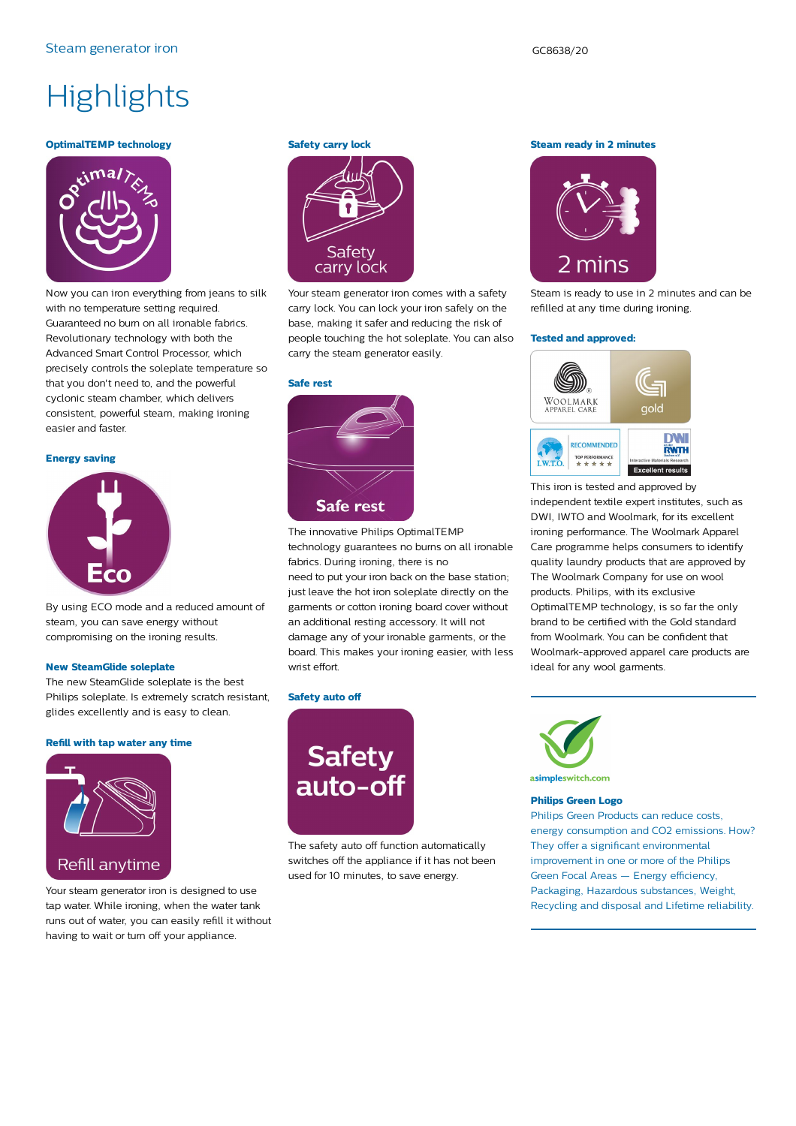## **Highlights**

#### **OptimalTEMP technology**



Now you can iron everything from jeans to silk with no temperature setting required. Guaranteed no burn on all ironable fabrics. Revolutionary technology with both the Advanced Smart Control Processor, which precisely controls the soleplate temperature so that you don't need to, and the powerful cyclonic steam chamber, which delivers consistent, powerful steam, making ironing easier and faster.

#### **Energy saving**



By using ECO mode and a reduced amount of steam, you can save energy without compromising on the ironing results.

#### **New SteamGlide soleplate**

The new SteamGlide soleplate is the best Philips soleplate. Is extremely scratch resistant, glides excellently and is easy to clean.

#### **Refill with tap water any time**



Your steam generator iron is designed to use tap water. While ironing, when the water tank runs out of water, you can easily refill it without having to wait or turn off your appliance.

#### **Safety carry lock**



Your steam generator iron comes with a safety carry lock. You can lock your iron safely on the base, making it safer and reducing the risk of people touching the hot soleplate. You can also carry the steam generator easily.

#### **Safe rest**



The innovative Philips OptimalTEMP technology guarantees no burns on all ironable fabrics. During ironing, there is no

need to put your iron back on the base station; just leave the hot iron soleplate directly on the garments or cotton ironing board cover without an additional resting accessory. It will not damage any of your ironable garments, or the board. This makes your ironing easier, with less wrist effort.

#### **Safety auto off**



The safety auto off function automatically switches off the appliance if it has not been used for 10 minutes, to save energy.

**Steam ready in 2 minutes**



Steam is ready to use in 2 minutes and can be refilled at any time during ironing.

#### **Tested and approved:**



This iron is tested and approved by independent textile expert institutes, such as DWI, IWTO and Woolmark, for its excellent ironing performance. The Woolmark Apparel Care programme helps consumers to identify quality laundry products that are approved by The Woolmark Company for use on wool products. Philips, with its exclusive OptimalTEMP technology, is so far the only brand to be certified with the Gold standard from Woolmark. You can be confident that Woolmark-approved apparel care products are ideal for any wool garments.



#### **Philips Green Logo**

Philips Green Products can reduce costs, energy consumption and CO2 emissions. How? They offer a significant environmental improvement in one or more of the Philips Green Focal Areas — Energy efficiency, Packaging, Hazardous substances, Weight, Recycling and disposal and Lifetime reliability.